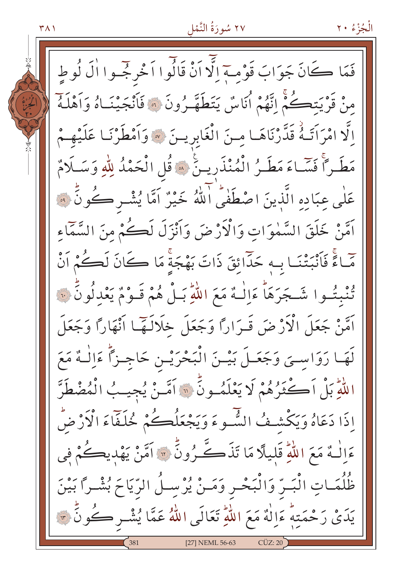#### ٢٧ سُورَةُ النَّمْل

فَمَا ڪَانَ جَوَابَ قَوْمــةِ اِلَّا أَنْ قَالُوا اَخْرِ جُــوا اٰلَ لُوطِ مِنْ قَرْيَتِكُمْ إِنَّهُمْ أَنَاسٌ يَتَطَهَّـرُونَ ۞ فَأَنْجَيْنَـاهُ وَأَهْلَهُ الَّا امْرَاتَهُ قَدَّرْنَاهَـا مـنَ الْغَابِرِيـنَ ۞ وَاَمْطَرْنَـا عَلَيْهِـمْ مَطَّراً فَسَّاءَ مَطَّنُ الْمُنْذَرِينَّ ﴾ قُل الْحَمْدُ لِلَّهِ وَسَـلَامٌ عَلَى عبَاده الَّذينَ اصْطَفَى اللَّهُ خَيْرٌ اَمَّا يُشْـرِكُونَ ۚ لَهُ ۚ اَمَّنْ خَلَقَ السَّمٰوَاتِ وَالْأَرْضَ وَأَنْزَلَ لَكُمْ مِنَ السَّمَّاءِ مَّاءً فَأَنْبَتْنَـا بِـهِ حَدًّائِقَ ذَاتَ بَهْجَةً مَا كَانَ لَكُمْ أَنْ تُنْبِتُوا شَجَرَهَا ءَاِلْهُ مَعَ اللَّهِ بَـلْ هُمْ قَـوْمٌ يَعْدِلُونَ ۞ آمَنْ جَعَلَ الْأَرْضَ قَـرَارًا وَجَعَلَ خَلَالَـهَّــا أَنْهَارًا وَجَعَلَ لَهَا رَوَاسِيَ وَجَعَـلَ بَيْـنَ الْبَحْرَيْـن حَاجِـزاً ءَاِلْـهٌ مَعَ اللَّهِ بَلْ أَكْثَرُهُمْ لَا يَعْلَمُونِّ ۞ أَمَّـنْ يُجيبُ الْمُضْطَرَّ إِذَا دَعَاهُ وَيَكْشِفُ الشَّوءَ وَيَجْعَلُكُمْ خُلَفَاءَ الْأَرْضُ ءَالْـهٌ مَعَ اللَّهِ قَليلًا مَا تَذَكَّے رُونٌ ۞ اَمَّنْ يَهْدِيكُمْ فِي ظُلُمَـاتِ الْبَـرِّ وَالْبَحْـرِ وَمَـنْ يُرْسِـلُ الرِّيَاحَ بُشْـراً بَيْنَ يَدَىْ رَحْمَتِهِ ءَاللَّهُ مَعَ اللَّهِ تَعَالَى اللَّهُ عَمَّا يُشْـرِكُونَ \*\* [27] NEML 56-63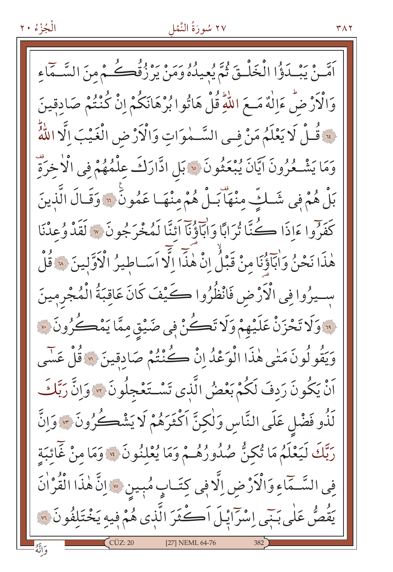#### ٢٧ سُورَةُ النَّمْل

**TAY** 

أَمَّـنْ يَبْـدَؤُا الْخَلّْـقَ ثُمَّ يُعِيدُهُ وَمَنْ يَرْزُقُكُــمْ مِنَ السَّـمَّاءِ وَالْأَرْضُ ءَالْهٌ مَــعَ اللَّهِ قُلْ هَاتُوا بُرْهَانَكُمْ إِنْ كُنْتُمْ صَادِقِينَ لِهِ قُـلْ لَا يَعْلَمُ مَنْ فِـى السَّـمٰوَاتِ وَالْأَرْضِ الْغَيْبَ اِلَّا اللَّهُ وَمَا يَشْـعُرُونَ ايَّانَ يُبْعَثُونَ ۞ بَلِ ادَّارَكَ عِلْمُهُمْ فِي الْأَخِرَةِ بَلْ هُمْ فِي شَـلتِّ مِنْهَاْبَـلْ هُمْ مِنْهَـا عَمُونَ ۚ ﴿ وَقَـالَ الَّذِينَ كَفَرُوا ءَاذَا ڪُنَّا تُرابًا وَابَاؤُنَا ائنَّا لَمُخْرَجُونَ ۞ لَقَدْ وُعِدْنَا هٰذَا نَحْنُ وَابَاؤُنَا مِنْ قَبْلُ إِنْ هٰذَا إِلَّا اَسَـاطِيرُ الْأَوَّلِينَ \* قُلْ سِـيرُوا فِي الْأَرْضِ فَانْظُرُوا كَـيْفَ كَانَ عَاقِبَةُ الْمُجْرِمِينَ ا، وَلَا تَحْزَنْ عَلَيْهِمْ وَلَا تَكُنْ فِي صَيْقٍ مِمَّا يَمْكُرُونَ ۞ وَيَقُولُونَ مَتْبِي هٰذَا الْوَعْدُ إِنْ كُنْتُمْ صَادِقِينَ « قُلْ عَسَى َنْ يَكُونَ رَدفَ لَكُمْ بَعْضُ الَّذِي تَسْتَغْجِلُونَ ۞ وَإِنَّ رَبَّكَ لَذُو فَضْلِ عَلَى النَّاسِ وَلٰكِنَّ اَكْثَرَهُمْ لَا يَشْكُرُونَ ۞ وَإِنَّ رَبَّكَ لَيَعْلَمُ مَا تُكِنُّ صُلُورُهُـمْ وَمَا يُعْلِنُونَ ۞ وَمَا مِنْ غَائِبَةٍ فِي السَّـمَّاءِ وَالْأَرْضِ اِلَّافِي كِتَـابٍ مُبِينٍ \* إِنَّ هٰذَا الْقُرْاٰنَ يَقُصُّ عَلَى بَنِّي إِسْرَايْلَ اَكْثَرَ الَّذِي هُمْ فِيهِ يَخْتَلِفُونَ ۞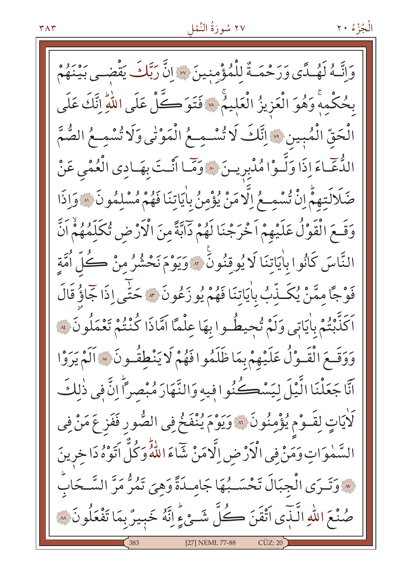#### ٢٧ سُورَةُ النَّمْل

وَإِنَّهُ لَهُـلَّى وَرَحْمَـةٌ لِلْمُؤْمنِينَ ۞ إِنَّ رَبَّكَ يَقْضـى بَيْنَهُمْ بِحُكْمِهِ وَهُوَ الْعَزِيزُ الْعَلِيمُ \* فَتَوَكَّلْ عَلَى اللَّهِ اِنَّكَ عَلَى الْحَقّ الْمُبِينِ ۞ إنَّكَ لَا تُسْمِعُ الْمَوْنِي وَلَا تُسْمِعُ الصُّمَّ الدُّعَّـاءَ إِذَا وَلَّـوْا مُلْبِرِيـنَ \* وَمَّـا أَنْـتَ بِهَـادِي الْعُمْيِ عَنْ ضَلَالَتهِمُّ إِنْ تُسْمَـعُ إِلَّا مَنْ يُؤْمِنُ بِاٰيَاتِنَا فَهُمْ مُسْلِمُونَ ﴾ وَإِذَا وَقَعَ الْقَوْلُ عَلَيْهِمْ اَخْرَجْنَا لَهُمْ دَابَّةً مِنَ الْأَرْضِ تُكَلِّمُهُمْ اَنَّ النَّاسَ كَانُوا بِاٰيَاتِنَا لَا يُوقِنُونَ ۞ وَيَوْمَ نَحْشُرُ مِنْ كُلِّ اُمَّةٍ فَوْجًا مِمَّنْ يُكَنِّبُ بِاٰيَاتِنَا فَهُمْ يُوزَعُونَ ۞ حَتّٰى إِذَا جَاؤُ قَالَ اَكَذَّبْتُمْ بِاٰيَاتِي وَلَمْ تُجِيطُ وا بِهَا عِلْمًا اَمَّاذَا كُنْتُمْ تَعْمَلُونَ بِهِ وَوَقَعَ الْقَوْلُ عَلَيْهِمْ بِمَا ظَلَمُوا فَهُمْ لَا يَنْطِقُونَ ﴾ أَلَمْ يَرَوْا اَنَّا جَعَلْنَا الَّيْلَ لِيَسْكُنُوا فِيهِ وَالنَّهَارَ مُبْصِراً إِنَّ فِي ذٰلِكَ لَأَيَاتٍ لِقَـوْمٍ يُؤْمِنُونَ ۚ ۞ وَيَوْمَ يُنْفَخُ فِي الصُّورِ فَفَزِعَ مَنْ فِي السَّمٰوَاتِ وَمَنْ فِي الْأَرْضِ اِلَّامَنْ شَاءَ اللَّهُ وَكُلِّ اتَوْهُ دَا خرينَ لِهَ وَتَسَرَى الْجِبَالَ تَحْسَـبُهَا جَامِـدَةً وَهِيَ تَمُرُّ مَرَّ السَّـحَابِّ صُنْعَ اللّٰهِ الَّذّي أَتْقَنَ كُلِّ شَئْءٍ إِنَّهُ خَبِيرٌ بِمَا تَفْعَلُونَ ۞ [27] NEML 77-88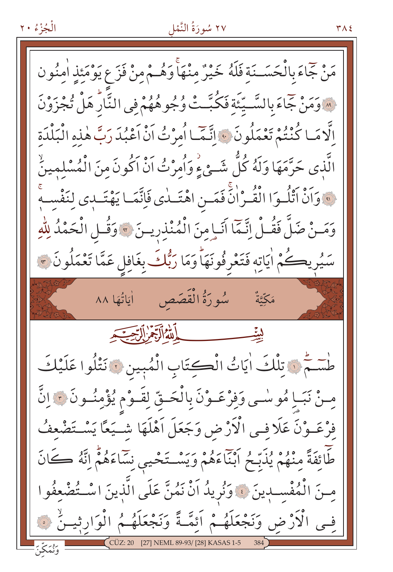# ٢٧ سُورَةُ النَّمْل

الْجُزْءُ ٢٠

مَنْ جَاءَ بِالْحَسَــنَة فَلَهُ خَيْرٌ مِنْهَا وَهُــمْ مِنْ فَزَ عِ يَوْمَئِذِ اٰمِنُون ﴾ وَمَنْ جَمَاءَ بِالسَّـيِّئَةِ فَكُبَّـتْ وُجُوهُهُمْ فِي النَّارُ هَلْ تُجْزَوْنَ إِلَّا مَا كُنْتُمْ تَعْمَلُونَ ۞ إِنَّمَّا أُمرْتُ أَنْ أَعْبُدَ رَبَّ هٰذِهِ الْبَلْدَةِ الَّذِي حَرَّمَهَا وَلَهُ كُلُّ شَــوْ وَأُمرْتُ اَنْ اَكُونَ منَ الْمُسْلمينُ لَهُ وَأَنْ أَتْلُوا الْقُرْانَ فَمَـنِ اهْتَـلٰى فَاِنَّمَـا يَهْتَـلٖى لِنَفْسِـهٖ وَمَـنْ ضَلَّ فَقُـلْ اِتَّـمَا أَنَـا مِنَ الْمُنْذِرِيـنَ \* وَقُـلِ الْحَمْدُ لِلَّهِ سَيُرِيڪُمْ اٰيَاتِهِ فَتَعْرِفُونَهَا وَمَا رَبُّكَ بِغَافِلِ عَمَّا تَعْمَلُونَ ﴾ مَكِّيَّةٌ سُورَةُ الْقَصَصِ أيَاتُهَا ٨٨ لِيَّنِّبِ السَّلْمِلَاةِ الْآَيَّةُ الْآَيَّةُ الْمُسْتَجِيدِ طْسَمْ ۞ تِلْكَ اٰيَاتُ الْكِتَابِ الْمُبِينِ ۞ نَتْلُوا عَلَيْكَ مِنْ نَبَاٍ مُوسْمِي وَفِرْعَـوْنَ بِالْحَـقِّ لِقَـوْمِ يُؤْمِنُـونَ ؟ إِنَّ فِرْعَـوْنَ عَلَا فِـي الْأَرْضِ وَجَعَلَ اَهْلَهَا شَـيَعًا يَسْـتَضْعِفُ طَائِفَةً مِنْهُمْ يُذَبِّحُ ابْنَاءَهُمْ وَيَسْتَحْيِي نِسَاءَهُمْ إِنَّهُ كَانَ مِنَ الْمُفْسِبِينَ ﴾ وَنُرِيدُ أَنْ نَمُنَّ عَلَى الَّذِينَ اسْتُضْعِفُوا فِي الْأَرْضِ وَنَجْعَلَهُمْ اَئِمَّـةً وَنَجْعَلَهُمُ الْوَارِثِينَ ﴾ NEML 89-93/ [28] KASAS 1-5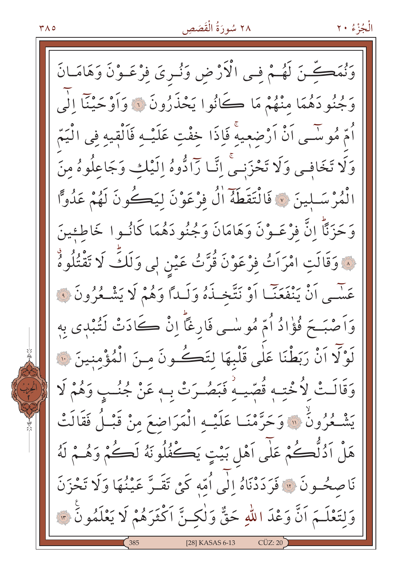وَنُمَكِّنَ لَهُـمْ فِـى الْأَرْضِ وَنُـرىَ فِرْعَـوْنَ وَهَامَـانَ وَجُنُودَهُمَا مِنْهُمْ مَا ڪَانُوا يَحْذَرُونَ ۞ وَاَوْحَيْنَا الَّـِي أُمَّ مُوسَّـى أَنْ أَرْضَعِيهِ فَإِذَا خِفْتٍ عَلَيْـهِ فَأَلْقِيهِ فِي الْيَمّ وَلَا تَخَافِي وَلَا تَحْزَنِيُّ إِنَّـا رَّادُّوهُ إِلَيْكَ وَجَاعِلُوهُ مِنَ الْمُرْسَـلِينَ ۞ فَالْتَقَطَّهُ الْ فِرْعَوْنَ لِيَكُونَ لَهُمْ عَدُوًّا وَحَزَنَّا إِنَّ فِرْعَـوْنَ وَهَامَانَ وَجُنُو دَهُمَا كَانُـوا خَاطِءِينَ لَهُ وَقَالَتِ امْرَاَتُ فِرْعَوْنَ قُرَّتُ عَيْنِ لِمِي وَلَكٍّ لَا تَقْتُلُوهُ عَسْمِي أَنْ يَنْفَعَنَـا أَوْ نَتَّخِـذَهُ وَلَـدًّا وَهُمْ لَا يَشْـعُرُونَ ۞ وَأَصْبَحَ فُؤْادُ أُمَّ مُوسْمِي فَارِغَاً إِنْ كَادَتْ لَتُبْدِي بِهِ لَوْلَّا اَنْ رَبَطْنَا عَلَى قَلْبِهَا لِتَكْونَ مِنَ الْمُؤْمِنِينَ ۞ وَقَالَتْ لاُخْتِه قُصّيهُ فَبَصُـرَتْ بِهِ عَنْ جُنُـبٍ وَهُمْ لَا يَشْـعُرُونَ ۞ وَحَرَّمْنَـا عَلَيْـهِ الْمَرَاضِعَ مِنْ قَبْـلُ فَقَالَتْ هَلْ اَدُلُّڪُمْ عَلَى اَهْل بَيْتٍ يَڪُفُلُونَهُ لَڪُمْ وَهُـمْ لَهُ نَاصِحُـونَ ۞ فَرَدَدْنَاهُ إِلَٰى أُمّه كَيْ تَقَـرَّ عَيْنُهَا وَلَا تَحْزَنَ وَلِتَعْلَـمَ اَنَّ وَعْدَ اللّهِ حَقٌّ وَلٰكِـنَّ اَكْثَرَهُمْ لَا يَعْلَمُونَ ۚ ۚ [28] KASAS 6-13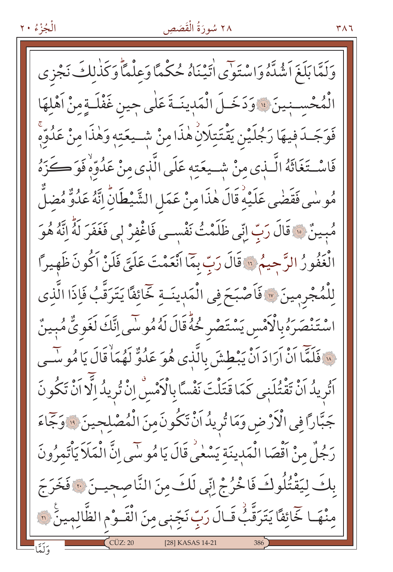الْجُزْءُ ٢٠

وَلَمَّا بَلَغَ اَشُدَّهُ وَاسْتَوْى اٰتَيْنَاهُ حُكْمًا وَعِلْمًا وَكَذٰلِكَ نَجْزِي الْمُحْسِـنِينَ ۚ وَدَخَـلَ الْمَدِينَـةَ عَلٰى جِين غَفْلَـةٍ مِنْ اَهْلِهَا فَوَجَـدَ فِيهَا رَجُلَيْنِ يَقْتَتِلَانِ هٰذَا مِنْ شِـيعَتِهِ وَهٰذَا مِنْ عَدُوّهِ فَاسْتَغَاثَهُ الَّـٰذِي مِنْ شِـيعَتِهِ عَلَى الَّذِي مِنْ عَدُوّهٖ فَوَ كَزَهُ مُوسٰى فَقَضٰى عَلَيْهِ قَالَ هٰذَا مِنْ عَمَلِ الشَّيْطَانِّ إِنَّهُ عَدُوٌّ مُضِلُّ مُبِينٌ ۞ قَالَ رَبِّ اِنِّي ظَلَمْتُ نَفْسـي فَاغْفِرْ لي فَغَفَرَ لَهُ اِنَّهُ هُوَ الْغَفُورُ الرَّجِيمُ ۞ قَالَ رَبِّ بِمَا أَنْعَمْتَ عَلَيَّ فَلَنْ أَكُونَ ظَهِيراً لِلْمُجْرِمِينَ ۞ فَاَصْبَحَ فِي الْمَدِينَةِ خَمَائِفًا يَتَرَقَّبُ فَإِذَا الَّذ*َى* اسْتَنْصَرَهُ بِالْأَمْسِ يَسْتَصْرِ خُهُّ قَالَ لَهُ مُوسَى اِنَّكَ لَغَوِيٌّ مُبِينٌ هِ ۚ فَلَمَّا أَنْ أَرَادَ أَنْ يَبْطِشَ بِالَّذِي هُوَ عَدُوٌّ لَهُمَاْ قَالَ يَا مُو سَــى اَتُرِيدُ اَنْ تَقْتُلَنٖى كَمَا قَتَلْتَ نَفْسًا بِالْأَمْسِ إِنْ تُرِيدُ اِلَّا اَنْ تَكُونَ جَبَّارًا فِي الْأَرْضِ وَمَا تُرِيدُ اَنْ تَكُونَ مِنَ الْمُصْلِحِينَ ۚ وَجَّاءَ رَجُلٌ مِنْ أَقْصَا الْمَدِينَةِ يَسْعٰى قَالَ يَا مُوسَى إِنَّ الْمَلَا يَأْتَمِرُونَ بِكَ لِيَقْتُلُوكَ فَاحْرُجْ إِنِّي لَكَ مِنَ النَّاصِحِيـنَ ۞ فَخَرَجَ مِنْهَا خَائِفًا يَتَرَقَّبُ قَالَ رَبِّ نَجِّنٖى مِنَ الْقَـوْمِ الظَّالِمِينَ ۞ [28] KASAS 14-21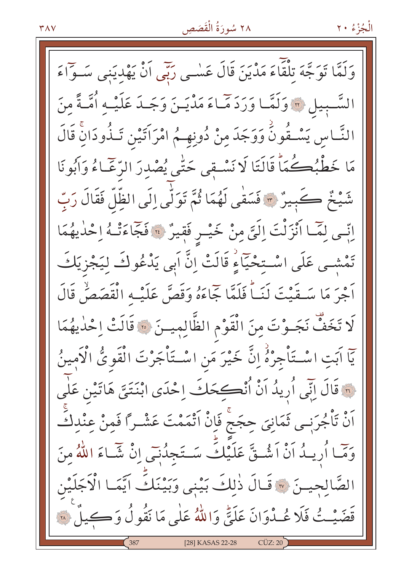وَلَمَّا تَوَجَّهَ تَلْقَاءَ مَدْيَنَ قَالَ عَسْى رَبِّي أَنْ يَهْدِيَنِي سَوَاءَ السَّبِيلِ ٣ وَلَمَّا وَرَدَ مَّاءَ مَدْيَـنَ وَجَـدَ عَلَيْـهِ أُمَّـةً منَ النَّـاسِ يَسْـقُونَّ وَوَجَدَ مِنْ دُونِهِـمُ امْرَاتَيْنِ تَـذُودَانِّ قَالَ مَا خَطْبُڪُمَاً قَالَتَا لَا نَسْتِي حَتّٰى يُصْدِرَ الرِّعَّـاءُ وَاَبُونَا شَيْخٌ كَبِيرٌ ﴾ فَسَقَى لَهُمَا ثُمَّ تَوَلِّي إِلَى الظِّلِّ فَقَالَ رَبِّ اِنِّسِي لِمَمَّا أَنْزَلْتَ إِلَيَّ مِنْ خَيْسٍ فَقِيرٌ ۞ فَجَاءَتْهُ إِحْذِيهُمَا تَمْشـى عَلَى اسْتِحْيَاءِ قَالَتْ اِنَّ اَبِي يَدْعُوكَ لِيَجْزِيَكَ اَجْرَ مَا سَـقَيْتَ لَنَـاً فَلَمَّا جَاءَهُ وَقَصَّ عَلَيْـهِ الْقَصَصّْ قَالَ لَا تَخَفُّ نَجَـوْتَ مِنَ الْقَوْمِ الظَّالِمِيـنَ ۞ قَالَتْ اِحْدٰيهُمَا يَا اَبَتِ اسْتَأْجِرْهُ إِنَّ خَيْرَ مَنِ اسْتَأْجَرْتَ الْقَوِيُّ الْأَمِينُ لِمَ قَالَ إِنِّي أُرِيدُ اَنْ أُنْكَبِحَكَ اِحْدَى ابْنَتَيَّ هَاتَيْنِ عَلَى َنْ تَأْجُرَنِـي ثَمَانِيَ حِجَجَ فَإِنْ أَتْمَمْتَ عَشْـرًا فَمِنْ عِنْدِكَ وَمَّا أُرِيدُ أَنْ أَشُتَّى عَلَيْكَ سَتَجِدُنِي إِنْ شَاءَ اللَّهُ مِنَ الصَّالحيـنَ ۞ قَـالَ ذٰلكَ بَيْنِي وَبَيْنَكَ اَيَّمَـا الْأَجَلَيْنِ قَضَيْتُ فَلَا عُـذْوَانَ عَلَيٌّ وَاللَّهُ عَلَى مَا نَقُولُ وَكِـيلٌ ۞ [28] KASAS 22-28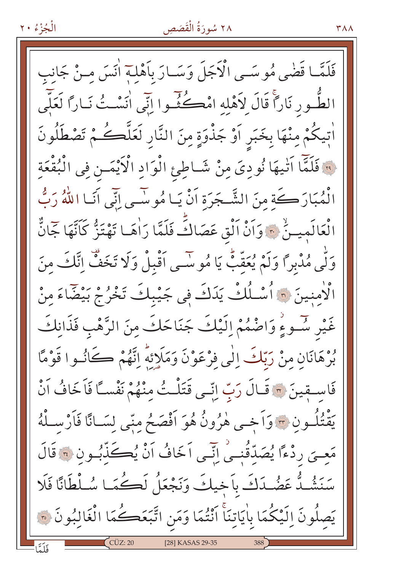الْجُزْءُ ٢٠

فَلَمَّــا قَضْى مُوسَــى الْأَجَلَ وَسَــارَ بِأَهْلِـة اٰنَسَ مِـنْ جَانِب الطُّـور نَارًا قَالَ لِأَهْلِهِ امْكُثُّـوا اِنِّي اٰنَسْتُ نَـارًا لَعَلَّمِي اْتِيكُمْ مِنْهَا بِخَبَرِ اَوْ جَذْوَةٍ مِنَ النَّارِ لَعَلَّكُمْ تَصْطَلُونَ فَلَمَّا اَتْيهَا نُودِيَ مِنْ شَـاطِئِ الْوَادِ الْأَيْمَـنِ فِي الْبُقْعَةِ الْمُبَارَكَةِ مِنَ الشَّجَرَةِ اَنْ يَا مُوسَى إِنِّي آَنَا اللهُ رَبُّ الْعَالَمِيتُ \* وَاَنْ اَلْقِ عَصَاكً فَلَمَّا رَاٰهَـا تَهْتَزُّ كَاَنَّهَا جَانٌّ وَلّٰى مُدْبِرًا وَلَمْ يُعَقِّبُ يَا مُوسَى أَقْبِلْ وَلَا تَخَفُّ إِنَّكَ مِنَ الْاٰمِنِينَ ۞ اُسْـلُكْ يَدَكَ فِي جَيْبِكَ تَخْرُجْ بَيْضَاءَ مِنْ غَيْرِ سَّـوءٍ وَاضْمُمْ إِلَيْكَ جَنَاحَكَ مِنَ الرَّهْبِ فَذَانِكَ بُرْهَانَانِ مِنْ رَبِّكَ اِلْي فِرْعَوْنَ وَمَلَإِئَهُ اِنَّهُمْ كَانُوا قَوْمًا فَاسِـقِينَ ۞ قَـالَ رَبِّ إِنِّـي قَتَلْـتُ مِنْهُمْ نَفْساً فَاَخَافُ اَنْ يَقْتُلُـونِ ۞ وَاَخِـي هٰرُونُ هُوَ اَفْصَحُ مِنّي لِسَـانًا فَاَرْسـلُهُ مَعِـيَ رِدْءًا يُصَدِّقُنِـيْ إِنَّـي اَخَافُ اَنْ يُڪَذِّبُـونِ ۞ قَالَ سَنَشُدٌ عَضُدَكَ بِاَخِيكَ وَنَجْعَلُ لَكُمَا سُلْطَانًا فَلَا يَصلُونَ اِلَيْكُمَا بِاٰيَاتِنَاً اَنْتُمَا وَمَنِ اتَّبَعَڪُمَا الْغَالِبُونَ ۞  $\int$  CÜZ: 20 [28] KASAS 29-35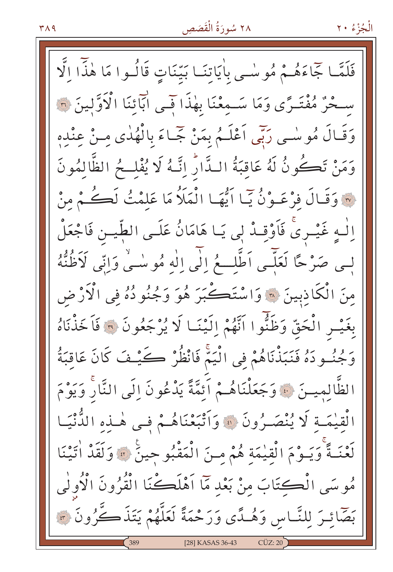فَلَمَّـا جَاءَهُـمْ مُوسْـى بِاٰيَاتِنَـا بَيِّنَاتٍ قَالُـوا مَا هٰذَّا الَّا سَـحْرٌ مُفْتَـرًى وَمَا سَـمِعْنَا بِهٰذَا فَـى ابَائِنَا الْأَوَّلِينَ ۞ وَقَـالَ مُوسْـي رَبِّي اَعْلَـمُ بِمَنْ جَماءَ بِالْهُدٰى مِـنْ عِنْدِهِ وَمَنْ تَكُونُ لَهُ عَاقبَةُ اللَّالِّ إِنَّهُ لَا يُفْلِحُ الظَّالِمُونَ لَمَ وَقَالَ فَرْعَـوْنُ يَمَا ايُّهَا الْمَلَاُ مَا عَلَمْتُ لَكُـمْ مِنْ اِلْـهِ غَيْـرِيٌّ فَأَوْقِـدْ لِي يَـا هَامَانُ عَلَـى الطِّيــن فَاجْعَلْ لَّـى صَنْ حًا لَعَلَّـى أَطَّلَــعُ إِلَى إِلٰهِ مُوسْـىٰ وَإِنِّي لَأَظُنُّهُ مِنَ الْكَاذِبِينَ ۞ وَاسْتَكْبَرَ هُوَ وَجُنُو دُهُ فِي الْأَرْضِ بِغَيْسِ الْحَقِّ وَظَنُّوا اَنَّهُمْ اِلَيْنَـا لَا يُرْجَعُونَ ۞ فَاَخَذْنَاهُ وَجُنُـودَهُ فَنَبَذْنَاهُمْ فِي الْيَمَّ فَانْظُرْ كَـيْـفَ كَانَ عَاقبَةُ الظَّالميـنَ ۞ وَجَعَلْنَاهُـمْ أَئمَّةً يَدْعُونَ إِلَى النَّارُ وَيَوْمَ الْقِيْمَـةِ لَا يُنْصَـرُونَ ۞ وَأَتْبَعْنَاهُـمْ فِـي هٰـذه الدُّنْيَـا لَعْنَـةً وَيَـوْمَ الْقَيْمَة هُمْ مـنَ الْمَقْبُو حِينَ ۞ وَلَقَدْ اٰتَيْنَا مُوسَى الْڪِتَابَ مِنْ بَعْدِ مَمَّا اَهْلَڪْنَا الْقُرُونَ الْأُولٰي بَصَّائِيَ لِلنَّاسِ وَهُـدًى وَرَحْمَةً لَعَلَّهُمْ يَتَذَكَّرُونَ ۞ [28] KASAS 36-43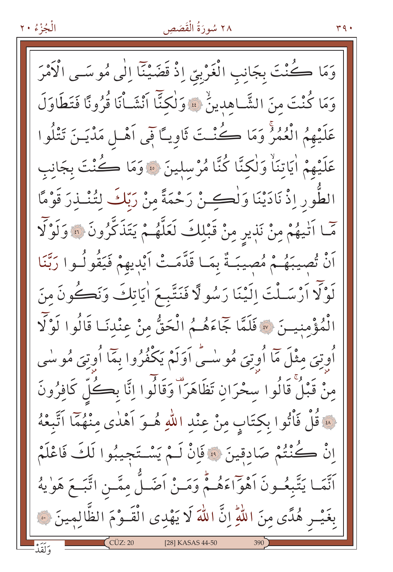الْجُزْءُ ٢٠

وَمَا ڪُنْتَ بجَانِبِ الْغَرْبِيِّ إِذْ قَضَيْنَا إِلَٰى مُوسَــِي الْأَمْرَ وَمَا كُنْتَ مِنَ الشَّاهِدِينُ \* وَلٰكِنَّا اَنْشَاْنَا قُرُونًا فَتَطَاوَلَ عَلَيْهِمُ الْعُمُرُ وَمَا كُنْتَ ثَاوِيًّا فِي أَهْـلِ مَدْيَـنَ تَتْلُوا عَلَيْهِمْ اٰيَاتِنَاْ وَلٰكِنَّا كُنَّا مُرْسلِينَ ۞ وَمَا كُنْتَ بِجَانِبِ الطُّورِ إِذْ نَادَيْنَا وَلْكِـنْ رَحْمَةً مِنْ رَبّكَ لِتُنْـذِرَ قَوْمًا مَّا اَتْيهُمْ مِنْ نَذِيرِ مِنْ قَبْلِكَ لَعَلَّهُمْ يَتَذَكَّرُونَ ۞ وَلَوْلَا أَنْ تُصِيبَهُمْ مُصِيبَةٌ بِمَا قَدَّمَتْ أَيْدِيهِمْ فَيَقُولُوا رَبَّنَا لَوْلَا أَرْسَـلْتَ اِلَيْنَا رَسُولًا فَنَتَّبِعَ اٰيَاتِكَ وَنَكُونَ مِنَ الْمُؤْمِنِينَ ۞ فَلَمَّا جَاءَهُمُ الْحَقُّ مِنْ عِنْدِنَا قَالُوا لَوْلَا اُوِتِیَ مِثْلَ مَآ اُوِتِیَ مُوسْتُیۡ اَوَلَمْ یَکْفُرُوا بِمَاۤ اُوتِیَ مُوسٰی مِنْ قَبْلُ قَالُوا سِحْرَانِ تَظَاهَرَا ۚ وَقَالُوا إِنَّا بِكُلِّ كَافِرُونَ لِهَ قُلْ فَأْتُوا بِكِتَابٍ مِنْ عِنْدِ اللّهِ هُـوَ اَهْدٰى مِنْهُمَّا اَتَّبِعْهُ إِنْ كُنْتُمْ صَادِقِينَ ﴾ فَإِنْ لَـمْ يَسْتَجِيبُوا لَكَ فَاعْلَمْ ٱتَّمَا يَتَّبِعُـونَ أَهْوَاءَهُـمْ وَمَـنْ أَضَـلُّ مِمَّـنِ اتَّبَـعَ هَوٰيهُ بِغَيْـرٍ هُدًى مِنَ اللّٰهِ إِنَّ اللّٰهَ لَا يَهْدِى الْقَـوْمَ الظَّالِمِينَ ۞ [28] KASAS 44-50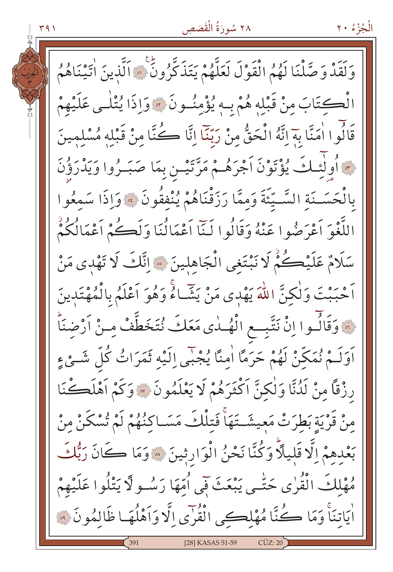٢٨ سُورَةُ الْقَصَصِ الْجُزْءُ ٢٠ وَلَقَدْ وَصَّلْنَا لَهُمُ الْقَوْلَ لَعَلَّهُمْ يَتَذَكَّرُونَ ۞ الَّذِينَ اٰتَيْنَاهُمُ الْكِتَابَ مِنْ قَبْلِهِ هُمْ بِهِ يُؤْمِنُونَ ۞ وَإِذَا يُتْلْبِي عَلَيْهِمْ قَالُوا اٰمَنَّا بِهَ إِنَّهُ الْحَقُّ مِنْ رَبِّنَا إِنَّا كُتَّا مِنْ قَبْلِهِ مُسْلِمِينَ مَا أُولَئِكَ يُؤْتَوْنَ أَجْرَهُمْ مَرَّتَيْنِ بِمَا صَبَـرُوا وَيَدْرَؤُنَ بِالْحَسَـنَةِ السَّـيَّئَةَ وَمِمَّا رَزَقْنَاهُمْ يُنْفِقُونَ ۞ وَإِذَا سَمِعُوا اللَّغْوَ أَعْرَضُوا عَنْهُ وَقَالُوا لَنَّا أَعْمَالُنَا وَلَكُمْ أَعْمَالُكُمْ سَلَامٌ عَلَيْكُمْ لَا نَبْتَغِي الْجَاهِلِينَ ۞ اِتَّكَ لَا تَهْدِي مَنْ اَحْبَبْتَ وَلٰكِنَّ اللّٰهَ يَهْدِى مَنْ يَشَّاءُ وَهُوَ اَعْلَمُ بِالْمُهْتَدِينَ لَّهَ وَقَالَسُوا إِنْ نَتَّبِعِ الْهُمْدِي مَعَكَ نُتَخَطَّفْ مِنْ أَرْضِنَاً اَوَلَـمْ نُمَكِّنْ لَهُمْ حَرَمًا اٰمِنًا يُجْبَى اِلَيْهِ ثَمَرَاتُ كُلِّ شَـئٍءٍ رِزْقًا مِنْ لَدُنَّا وَلٰكِنَّ اَكْثَرَهُمْ لَا يَعْلَمُونَ ﴾ وَكَمْ اَهْلَكْنَا منْ قَرْيَةِ بَطْرَتْ مَعِيشَـتَهَا فَتِلْكَ مَسَـاكِنُهُمْ لَمْ تُسْكَنْ منْ بَعْدِهِمْ اِلَّا قَلِيلًا وَكُنَّا نَحْنُ الْوَارِثِينَ ۞ وَمَا كَانَ رَبُّكَ مُهْلِكَ الْقُرٰى حَتّْـي يَبْعَثَ فِي اُمّهَا رَسُـو لَا يَتْلُوا عَلَيْهِمْ أَيَاتِنَاْ وَمَا كُنَّا مُهْلِكِي الْقُرْى اِلَّا وَاَهْلُهَا ظَالمُونَ ﴾ [28] KASAS 51-59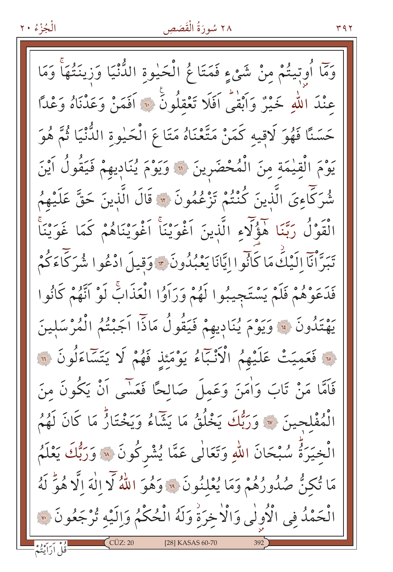## ٢٨ سُورَةُ الْقَصَصِ

وَمَّا أُوتِيتُمْ مِنْ شَيْءٍ فَمَتَا مُ الْحَيْوةِ الدُّنْيَا وَزِينَتُهَا وَمَا عِنْدَ اللَّهِ خَيْرٌ وَاَبْقَى أَفَلَا تَعْقِلُونَ ۚ ﴾ أَفَمَنْ وَعَدْنَاهُ وَعْدًا حَسَنًا فَهُوَ لَاقِيهِ كَمَنْ مَتَّعْنَاهُ مَتَاعَ الْحَيْوةِ الدُّنْيَا ثُمَّ هُوَ يَوْمَ الْقِيْمَةِ مِنَ الْمُحْضَرِينَ ۞ وَيَوْمَ يُنَادِيهِمْ فَيَقُولُ آَيْنَ شُرَكَاءِيَ الَّذِينَ كُنْتُمْ تَزْعُمُونَ ۞ قَالَ الَّذِينَ حَقَّ عَلَيْهِمُ الْقَوْلُ رَبَّنَا هَؤُلَّاءِ الَّذِينَ اَغْوَيْنَاْ اَغْوَيْنَاهُمْ كَمَا غَوَيْنَاْ تَبَرَّانَاۤ إِلَيْكَۖ مَا كَانُوۡ الِيَّانَا يَعْبُدُونَ \* وَقِيلَ ادْعُوا شُرَكَاۚءَكُمْ فَدَعَوْهُمْ فَلَمْ يَسْتَجِيبُوا لَهُمْ وَرَاَوُا الْعَذَابَّ لَوْ اَنَّهُمْ كَانُوا يَهْتِدُونَ ﴾ وَيَوْمَ يُنَادِيهِمْ فَيَقُولُ مَاذَا اَجَبْتُمُ الْمُرْسَلِينَ مِ فَعَمِيَتْ عَلَيْهِمُ الْأَنْبَاءُ يَوْمَئِذِ فَهُمْ لَا يَتَسَاءَلُونَ ۞ فَاَمَّا مَنْ تَابَ وَاٰمَنَ وَعَمِلَ صَالِحًا فَعَسَّى اَنْ يَكُونَ منَ الْمُفْلحينَ \* وَرَبُّكَ يَخْلُقُ مَا يَشَّاءُ وَيَخْتَارُ مَا كَانَ لَهُمُ الْخِيَرَةُ سُبْحَانَ اللّهِ وَتَعَالٰى عَمَّا يُشْرِكُونَ ۞ وَرَبُّكَ يَعْلَمُ مَا تُكِنُّ صُدُورُهُمْ وَمَا يُعْلِنُونَ ﴾ وَهُوَ اللَّهُ لَا إِلٰهَ إِلَّا هُوَّ لَهُ الْحَمْدُ فِي الْأُولٰي وَالْاٰخِرَةُ وَلَهُ الْحُكْمُ وَاِلَيْه تُرْجَعُونَ ۞ [28] KASAS 60-70 ائُلْ اَرَاَيْتُمْ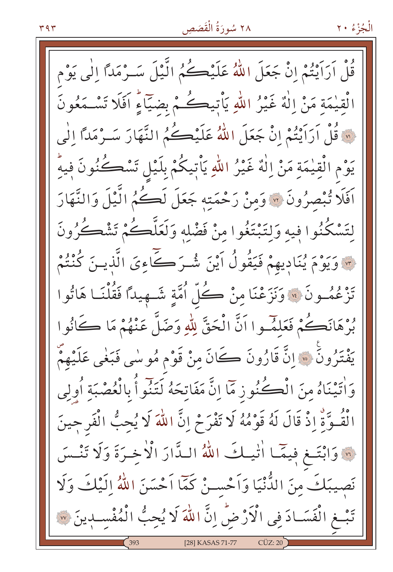قُلْ اَرَاَيْتُمْ إِنْ جَعَلَ اللَّهُ عَلَيْكُمُ الَّيْلَ سَـرْمَداً إِلَٰى يَوْم الْقِيْمَةِ مَنْ اِلْهٌ غَيْرُ اللّهِ يَأْتِيكُمْ بِضَيّاءٍ اَفَلَا تَسْمَعُونَ لِهِ قُلْ اَرَاَيْتُمْ إِنْ جَعَلَ اللَّهُ عَلَيْكُمُ النَّهَارَ سَـرْمَدًا إِلَٰى يَوْمِ الْقِيْمَةِ مَنْ اِلْهٌ غَيْرُ اللّهِ يَأْتِيكُمْ بِلَيْلِ تَسْكُنُونَ فِيهِ اَفَلَا تُبْصِرُونَ ۞ وَمِنْ رَحْمَتِه جَعَلَ لَكُمُ الَّيْلَ وَالنَّهَارَ لِتَسْكُنُوا فِيهِ وَلِتَبْتَغُوا مِنْ فَضْلِهِ وَلَعَلَّكُمْ تَشْكُرُونَ م وَيَوْمَ يُنَادِيهِمْ فَيَقُولُ أَيْنَ شُـرَكَــاعِيَ الَّذِيـنَ كُنْتُمْ تَزْعُمُــونَ ۞ وَنَزَعْنَا مِنْ كُلّْ أُمَّةٍ شَــهِيدًا فَقُلْنَــا هَائُوا بُرْهَانَكُمْ فَعَلَمَ وا اَنَّ الْحَقَّ لِلَّهِ وَضَلَّ عَنْهُمْ مَا كَانُوا يَفْتَرُونَ ۞ إِنَّ قَارُونَ كَانَ مِنْ قَوْمٍ مُوسٰى فَبَغٰى عَلَيْهِمْ وَاٰتِيْنَاهُ مِنَ الْكُنُورْ مَّا اِنَّ مَفَاتِحَهُ لَتَنُوأُ بِالْعُصْبَةِ أُولِي الْقُـوَّةِ إِذْ قَالَ لَهُ قَوْمُهُ لَا تَفْرَحْ إِنَّ اللَّهَ لَا يُحِبُّ الْفَرجينَ لِهِ وَابْتَغِ فِيمًا أَتْيَلُّكَ اللَّهُ البِّدَّارَ الْأَخِيرَةَ وَلَا تَنْسَنَ نَصِيبَكَ مِنَ الدُّنْيَا وَأَحْسَىٰ كَمَّا أَحْسَنَ اللَّهُ إِلَيْكَ وَلَا تَبْعِ الْفَسَـادَ فِي الْأَرْضُ إِنَّ اللَّهَ لَا يُحِبُّ الْمُفْسـدِينَ ۞ [28] KASAS 71-77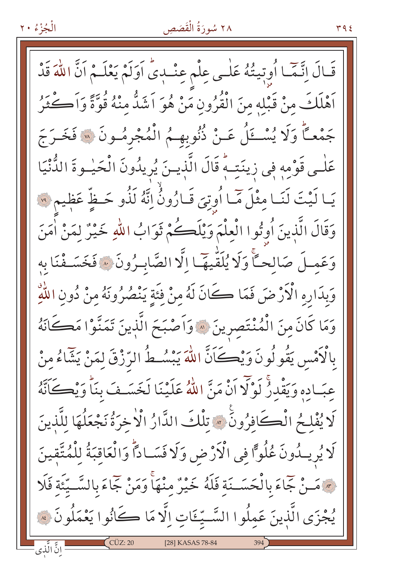## ٢٨ سُورَةُ الْقَصَصِ

قَـالَ اِنَّـمَٓـا أُوبِّيتُهُ عَلٰـى عِلْمٍ عِنْـبِيِّ اَوَلَمْ يَعْلَـمْ اَنَّ اللّٰهَ قَدْ اَهْلَكَ مِنْ قَبْلِهِ مِنَ الْقُرُونِ مَنْ هُوَ اَشَدُّ مِنْهُ قُوَّةً وَاَكْثَرُ جَمْعـًا وَلَا يُسْـــَـلُ عَــنْ ذُنُوبهــمُ الْمُجْرِمُــونَ ۞ فَخَــرَجَ عَلٰـى قَوْمِهِ فِي زِينَتِـهِۗ قَالَ الَّذِيـنَ يُرِيدُونَ الْحَيْـوةَ الدُّنْيَا يَـا لَيْتَ لَنَـا مِثْلَ مِّـا أُوتِيَ قَـارُونُ إِنَّهُ لَذُو حَـظٍّ عَظِيمٍ ۞ وَقَالَ الَّذِينَ أُوتُوا الْعِلْمَ وَيْلَكُمْ ثَوَابُ اللّهِ خَيْرٌ لِمَنْ أُمَنَ وَعَمِلَ صَالِحاً وَلَا يُلَقِّيهَا اِلَّا الصَّابِيرُونَ \* فَخَسَـفْنَا بِهِ وَبِدَارِهِ الْأَرْضَ فَمَا كَانَ لَهُ مِنْ فَئَةِ يَنْصُرُونَهُ مِنْ دُونِ اللَّهِ وَمَا كَانَ مِنَ الْمُنْتَصِرِينَ ۞ وَاَصْبَحَ الَّذِينَ تَمَنَّوْا مَكَانَهُ بِالْكَمْسِ يَقُولُونَ وَيْكَانَّ اللَّهَ يَبْسُطُ الرِّزْقَ لِمَنْ يَشَاءُ مِنْ عبَـاده وَيَقْدرُ لَوْلَا أَنْ مَنَّ اللَّهُ عَلَيْنَا لَخَسَـفَ بِنَاْ وَيْكَأَنَّهُ لَا يُفْلِحُ الْكَافِرُونَ \* تِلْكَ الدَّارُ الْاخْرَةُ نَجْعَلُهَا لِلَّذِينَ لَا يُرِيلُونَ عُلُوًّا فِي الْأَرْضِ وَلَا فَسَـادًا وَالْعَاقِبَةُ لِلْمُتَّقِينَ مِ مَـنْ جَاءَ بِالْحَسَــنَة فَلَهُ خَيْرٌ مِنْهَا وَمَنْ جَاءَ بِالسَّــيَّئَة فَلَا يُجْزَى الَّذِينَ عَمِلُوا السَّـيِّـئَاتِ اِلَّا مَا كَانُوا يَعْمَلُونَ ۞ ِانَّ الَّذِي  $C\ddot{U}Z:20$ [28] KASAS 78-84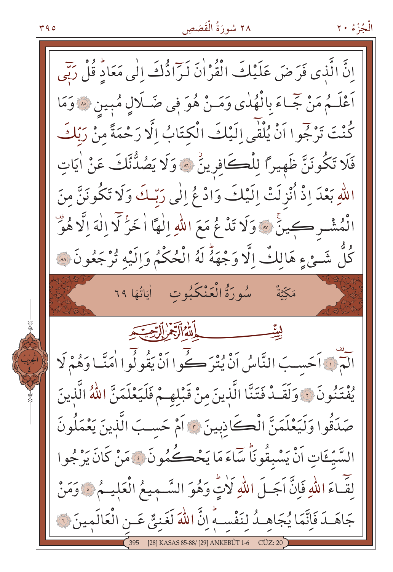۹۵ م

إِنَّ الَّذِي فَرَضَ عَلَيْكَ الْقُرْاٰنَ لَرَّا دُّكَ إِلٰى مَعَادٍّ قُلْ رَبِّي اَعْلَـمُ مَنْ جَّـاءَ بِالْهُدٰى وَمَـنْ هُوَ فِي ضَـلَالٍ مُبِينِ ۞ وَمَا كُنْتَ تَرْجُوا اَنْ يُلْقٰى إِلَيْكَ الْكِتَابُ إِلَّا رَحْمَةً مِنْ رَبِّكَ فَلَا تَكُونَنَّ ظَهِيرًا لِلْكَافِرِينُ ۞ وَلَا يَصُدُّنَّكَ عَنْ اٰيَاتٍ اللَّهِ بَعْدَ إِذْ أُنْزِلَتْ إِلَيْكَ وَادْعُ إِلَٰى رَبِّكَ وَلَا تَكُونَنَّ مِنَ الْمُشْرِكِبِينَ ۞ وَلَا تَدْعُ مَعَ اللَّهِ اِلْهَا اٰ خَزْلَا اللَّهَ اِلَّا هُوَ كُلُّ شَـئٍ ءِ هَالِكٌ اِلَّا وَجْهَةُ لَهُ الْحُكْمُ وَالَيْهِ تُرْجَعُونَ ۚ ﴾ مَكَّتَّةٌ لِيتِّ آمْ ﴿ اَحَسِبَ النَّاسُ اَنْ يُتْرَكُّوا اَنْ يَقُولُوا اٰمَنَّا وَهُمْ لَا يُفْتَنُونَ ﴾ وَلَقَـدْ فَتَنَّا الَّذِينَ مِنْ قَبْلِهِـمْ فَلَيَعْلَمَنَّ اللَّهُ الَّذِينَ صَدَقُوا وَلَيَعْلَمَنَّ الْكَاذِبِينَ ؟ أَمْ حَسِبَ الَّذِينَ يَعْمَلُونَ السَّيِّءَاتِ أَنْْ يَسْبِقُونَاً سَّاءَ مَا يَحْڪُمُونَ ۞ مَنْ كَانَ يَرْجُوا لِقَـَّاءَ اللَّهِ فَإِنَّ اَجَـلَ اللَّهِ لَأَتٍّ وَهُوَ السَّـمِيعُ الْعَلِيـمُ ﴾ وَمَنْ جَاهَـدَ فَإِنَّمَا يُجَاهِـدُ لِنَفْسِـهِ إِنَّ اللَّهَ لَغَنِيٌّ عَـنِ الْعَالَمِينَ ۞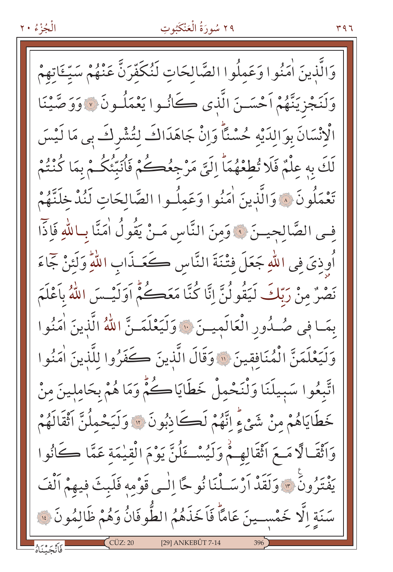## ٢٩ سُورَةُ الْعَنْكَبُوتِ

الْجُزْءُ ٢٠

وَالَّذينَ اٰمَنُوا وَعَملُوا الصَّالحَاتِ لَنُكَفّرَنَّ عَنْهُمْ سَيِّئَاتِهِمْ وَلَنَجْزِيَنَّهُمْ أَحْسَـنَ الَّذِي كَانُـوا يَعْمَلُـونَ ۞ وَوَصَّيْنَا الْانْسَانَ بِوَالدَيْهِ حُسْنَاً وَإِنْ جَاهَدَاكَ لِتُشْرِكَ بِي مَا لَيْسَ لَكَ بِهِ عِلْمٌ فَلَا تُطْعُهُمَاً إِلَيَّ مَرْجِعُكُمْ فَانْبَنْكُمْ بِمَا كُنْتُمْ تَعْمَلُونَ ﴾ وَالَّذِينَ اٰمَنُوا وَعَملُـوا الصَّالحَاتِ لَنُدْخِلَنَّهُمْ فِي الصَّالِحِيـنَ ۞ وَمِنَ النَّاسِ مَـنْ يَقُولُ اٰمَنَّا بِـاللّٰهِ فَإِذَّا أُوذِيَ فِي اللَّهِ جَعَلَ فِتْنَةَ النَّاسِ كَعَـذَابِ اللَّهِ وَلَئِنْ جَمَاءَ نَصْنٌ مِنْ رَبِّكَ لَيَقُولُنَّ إِنَّا كُنَّا مَعَكُمْ اَوَلَيْسَ اللَّهُ بِاَعْلَمَ بِمَا فِي صُـٰدُورِ الْعَالَمِيـنَ ۞ وَلَيَعْلَمَـنَّ اللَّهُ الَّذِينَ اٰمَنُوا وَلَيَعْلَمَنَّ الْمُنَافِقِينَ ۞ وَقَالَ الَّذِينَ كَفَرُوا لِلَّذِينَ اٰمَنُوا اتَّبِعُوا سَبِيلَنَا وَلْنَحْمِلْ خَطَايَاكُمْ وَمَا هُمْ بِحَامِلِينَ مِنْ خَطَايَاهُمْ مِنْ شَيْءٍ إِنَّهُمْ لَكَاذِبُونَ ۞ وَلَيَحْمِلُنَّ أَثْقَالَهُمْ وَاَثْقَالًا مَعَ اَثْقَالِهِمْ وَلَيُسْكَلُنَّ يَوْمَ الْقِيْمَةِ عَمَّا كَانُوا يَفْتَرُونَ \* وَلَقَدْ أَرْسَـلْنَا نُوحًا إِلَٰـى قَوْمِهِ فَلَبِثَ فِيهِمْ أَلْفَ سَنَة الَّا خَمْسـينَ عَامَّاً فَاَخَذَهُمُ الطَّوفَانُ وَهُمْ ظَالمُونَ فَ [29] ANKEBÛT 7-14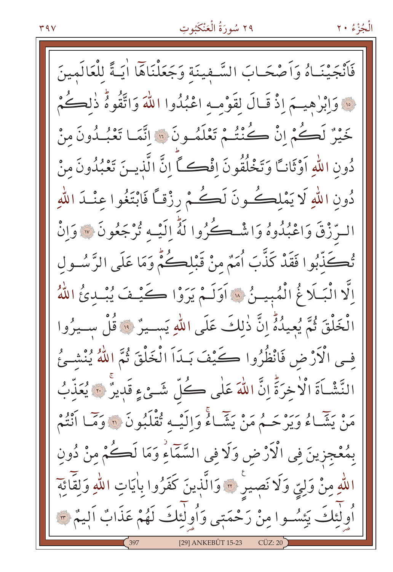#### $Y$ 9 $V$

#### ٢٩ سُورَةُ الْعَنْكَبُوتِ

الْجُزْءُ ٢٠

فَأَنْجَيْنَـاهُ وَاَصْحَـابَ السَّـفينَة وَجَعَلْنَاهَا اٰيَـةً للْعَالَمينَ فَ وَابْرٰهِيهِمَ إِذْ قَـالَ لِقَوْمِـهِ اعْبُدُوا اللَّهَ وَاتَّقُوهُ ذٰلِكُمْ خَيْرٌ لَڪُمْ انْ ڪُنْتُـُمْ تَعْلَمُـونَ ۞ اتَّمَـا تَعْبُـدُونَ منْ دُونِ اللَّهِ اَوْثَانِـًا وَتَخْلُقُونَ إِفْكِ الَّ الَّذِيـنَ تَعْبُدُونَ منْ دُونِ اللَّهِ لَا يَمْلِكُونَ لَكُمْ رِزْقاً فَابْتَغُوا عِنْـدَ اللَّهِ السِّرْقَ وَاعْبُدُوهُ وَاشْكُرُوا لَهُّ إِلَيْهِ تُرْجَعُونَ ۞ وَإِنْ تُكَذِّبُوا فَقَدْ كَذَّبَ أُمَمٌ مِنْ قَبْلِكُمّْ وَمَا عَلَى الرَّسُـولِ اِلَّا الْبَلَاغُ الْمُبِينُ « اَوَلَـمْ يَرَوْا كَيْـفَ يُبْـدئُ اللَّهُ الْخَلْقَ ثُمَّ يُعِيدُهُّ إِنَّ ذٰلكَ عَلَى اللهِ يَسِيرٌ ۚ وَ قُلْ سِيرُوا فِي الْأَرْضِ فَانْظُرُوا كَيْفَ بَـٰدَاَ الْخَلْقَ ثُمَّ اللَّهُ يُنْشَـئُ النَّشْـَاةَ الْأَخِرَةَ إِنَّ اللّٰهَ عَلٰى كُلِّ شَـئٍ ءٍ قَدِيرٌ ۞ يُعَذِّبُ يَّةِ يَشَّاءُ وَيَرْحَـمُ مَنْ يَشَّاءُ وَإِلَيْـهِ تُقْلَبُونَ لَهَ وَمَّـا أَنْتُمْ بِمُعْجِزِينَ فِي الْأَرْضِ وَلَا فِي السَّمَّاءِ وَمَا لَكُمْ مِنْ دُونِ اللَّهِ مِنْ وَلِيِّ وَلَا نَصِيرٍ ۞ وَالَّذِينَ كَفَرُوا بِاٰيَاتِ اللَّهِ وَلِقَائِهِمْ أُولَٰئِكَ يَئِسُوا مِنْ رَحْمَتِي وَأُولٰئِكَ لَهُمْ عَذَابٌ اَلِيمٌ ٣ [29] ANKEBÛT 15-23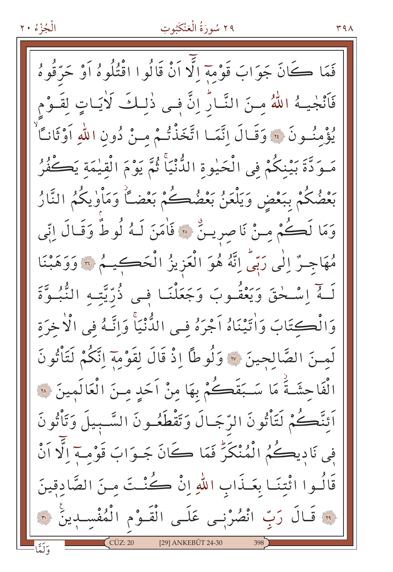## ٢٩ سُورَةُ الْعَنْكَبُوتِ

فَعَا ڪَانَ جَوَابَ قَوْمَهَ الَّا اَنْ قَالُو ا اقْتُلُوهُ اَوْ حَرَّقُوهُ فَأَنْجِيهُ اللَّهُ مِنَ النَّارِّ إِنَّ فِي ذٰلكَ لَأَيَاتِ لقَـوْم يُؤْمِنُونَ ﴾ وَقَالَ إِنَّمَا اتَّخَذْتُمْ منْ دُونِ اللهِ اَوْثَاناً مَـوَدَّةَ بَيْنكُمْ في الْحَيْوة الدُّنْيَا ثُمَّ يَوْمَ الْقيٰمَة يَكْفُرُ بَعْضُكُمْ بِبَعْضِ وَيَلْعَنُ بَعْضُكُمْ بَعْضَكٌ وَمَأْوٰيكُمُ النَّارُ وَمَا لَكُمْ مِنْ نَاصِرِينٌ ۞ فَأْمَنَ لَـهُ لُوطٌ وَقَـالَ اِنِّي مُهَاجِنٌ إِلَى رَبِّيُّ إِنَّهُ هُوَ الْعَزِيزُ الْحَكِيمُ ۞ وَوَهَبْنَا لَـهُ اسْـخْقَ وَيَعْقُـوبَ وَجَعَلْنَـا فـى ذُرِّيّتِـهِ النُّبُـوَّةَ وَالْكِتَابَ وَاٰتَيْنَاهُ اَجْرَهُ في الدُّنْيَاْ وَاِتَّـهُ في الْأُخرَة لَمِينَ الصَّالِحِينَ ۞ وَلُوطاً إِذْ قَالَ لِقَوْمِهَ إِنَّكُمْ لَتَأْتُونَ الْفَاحِشَةُ مَا سَـبَقَصُهُمْ بِهَا مِنْ اَحَدِ مِـنَ الْعَالَمِينَ ۞ اَئنَّكُمْ لَتَأْتُونَ الرِّجَالَ وَتَقْطَعُونَ السَّبِيلَ وَتَأْتُونَ فِي نَادِيكُمُ الْمُنْكَرِّ فَمَا كَانَ جَـوَابَ قَوْمـةِ اِلَّا اَنْ قَالُوا ائْتِنَا بِعَـذَابِ اللهِ إِنْ كُنْتَ مِنَ الصَّادقينَ ؟ قَـالَ رَبِّ انْصُرْنِـى عَلَـى الْقَـوْمِ الْمُفْسـدِينَ ۞ [29] ANKEBÛT 24-30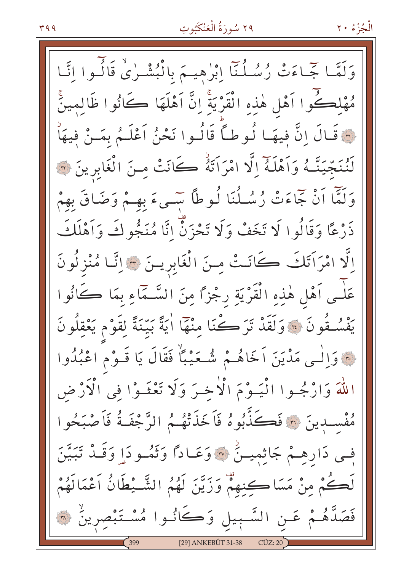# ٢٩ سُورَةُ الْعَنْكَبُوتِ